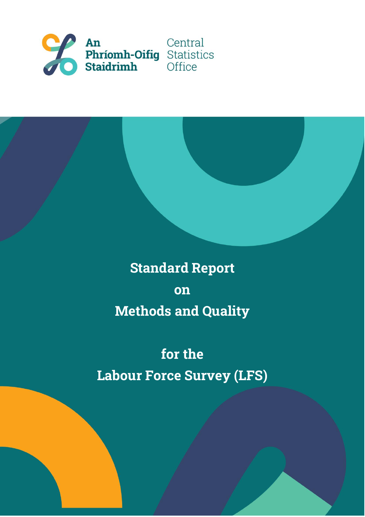

# **Standard Report on Methods and Quality**

# **for the Labour Force Survey (LFS)**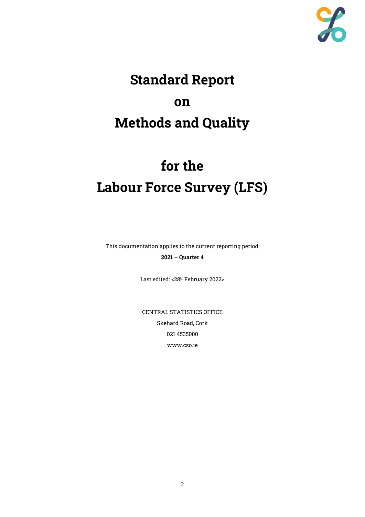

# **Standard Report on Methods and Quality**

# **for the Labour Force Survey (LFS)**

This documentation applies to the current reporting period: **2021 – Quarter 4**

Last edited: < 28<sup>th</sup> February 2022>

CENTRAL STATISTICS OFFICE Skehard Road, Cork 021 4535000 www.cso.ie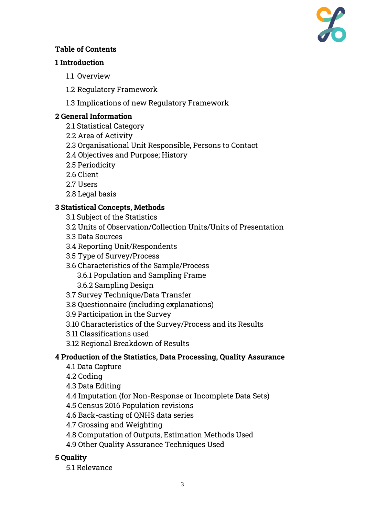

# **Table of Contents**

#### **1 Introduction**

- 1.1 Overview
- 1.2 Regulatory Framework
- 1.3 Implications of new Regulatory Framework

# **2 General Information**

- 2.1 Statistical Category
- 2.2 Area of Activity
- 2.3 Organisational Unit Responsible, Persons to Contact
- 2.4 Objectives and Purpose; History
- 2.5 Periodicity
- 2.6 Client
- 2.7 Users
- 2.8 Legal basis

# **3 Statistical Concepts, Methods**

- 3.1 Subject of the Statistics
- 3.2 Units of Observation/Collection Units/Units of Presentation
- 3.3 Data Sources
- 3.4 Reporting Unit/Respondents
- 3.5 Type of Survey/Process
- 3.6 Characteristics of the Sample/Process 3.6.1 Population and Sampling Frame
	- 3.6.2 Sampling Design
- 3.7 Survey Technique/Data Transfer
- 3.8 Questionnaire (including explanations)
- 3.9 Participation in the Survey
- 3.10 Characteristics of the Survey/Process and its Results
- 3.11 Classifications used
- 3.12 Regional Breakdown of Results

# **4 Production of the Statistics, Data Processing, Quality Assurance**

4.1 Data Capture

4.2 Coding

- 4.3 Data Editing
- 4.4 Imputation (for Non-Response or Incomplete Data Sets)
- 4.5 Census 2016 Population revisions
- 4.6 Back-casting of QNHS data series
- 4.7 Grossing and Weighting
- 4.8 Computation of Outputs, Estimation Methods Used
- 4.9 Other Quality Assurance Techniques Used

# **5 Quality**

5.1 Relevance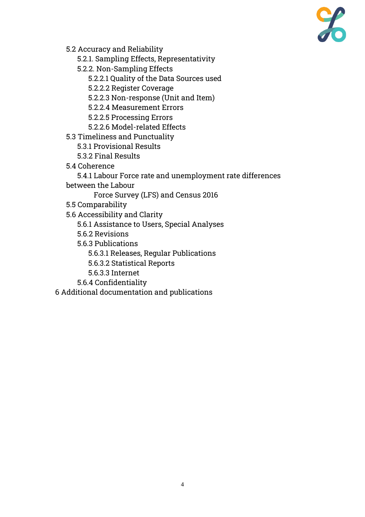

5.2 Accuracy and Reliability

5.2.1. Sampling Effects, Representativity

5.2.2. Non-Sampling Effects

5.2.2.1 Quality of the Data Sources used

5.2.2.2 Register Coverage

5.2.2.3 Non-response (Unit and Item)

5.2.2.4 Measurement Errors

5.2.2.5 Processing Errors

- 5.2.2.6 Model-related Effects
- 5.3 Timeliness and Punctuality
	- 5.3.1 Provisional Results
	- 5.3.2 Final Results
- 5.4 Coherence

5.4.1 Labour Force rate and unemployment rate differences between the Labour

Force Survey (LFS) and Census 2016

- 5.5 Comparability
- 5.6 Accessibility and Clarity
	- 5.6.1 Assistance to Users, Special Analyses
	- 5.6.2 Revisions
	- 5.6.3 Publications
		- 5.6.3.1 Releases, Regular Publications
		- 5.6.3.2 Statistical Reports
		- 5.6.3.3 Internet
	- 5.6.4 Confidentiality

6 Additional documentation and publications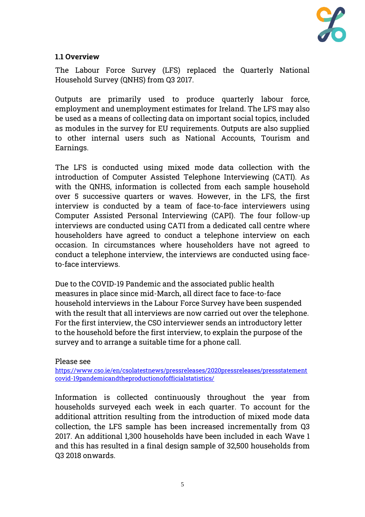

#### **1.1 Overview**

The Labour Force Survey (LFS) replaced the Quarterly National Household Survey (QNHS) from Q3 2017.

Outputs are primarily used to produce quarterly labour force, employment and unemployment estimates for Ireland. The LFS may also be used as a means of collecting data on important social topics, included as modules in the survey for EU requirements. Outputs are also supplied to other internal users such as National Accounts, Tourism and Earnings.

The LFS is conducted using mixed mode data collection with the introduction of Computer Assisted Telephone Interviewing (CATI). As with the QNHS, information is collected from each sample household over 5 successive quarters or waves. However, in the LFS, the first interview is conducted by a team of face-to-face interviewers using Computer Assisted Personal Interviewing (CAPI). The four follow-up interviews are conducted using CATI from a dedicated call centre where householders have agreed to conduct a telephone interview on each occasion. In circumstances where householders have not agreed to conduct a telephone interview, the interviews are conducted using faceto-face interviews.

Due to the COVID-19 Pandemic and the associated public health measures in place since mid-March, all direct face to face-to-face household interviews in the Labour Force Survey have been suspended with the result that all interviews are now carried out over the telephone. For the first interview, the CSO interviewer sends an introductory letter to the household before the first interview, to explain the purpose of the survey and to arrange a suitable time for a phone call.

#### Please see

[https://www.cso.ie/en/csolatestnews/pressreleases/2020pressreleases/pressstatement](https://www.cso.ie/en/csolatestnews/pressreleases/2020pressreleases/pressstatementcovid-19pandemicandtheproductionofofficialstatistics/) [covid-19pandemicandtheproductionofofficialstatistics/](https://www.cso.ie/en/csolatestnews/pressreleases/2020pressreleases/pressstatementcovid-19pandemicandtheproductionofofficialstatistics/)

Information is collected continuously throughout the year from households surveyed each week in each quarter. To account for the additional attrition resulting from the introduction of mixed mode data collection, the LFS sample has been increased incrementally from Q3 2017. An additional 1,300 households have been included in each Wave 1 and this has resulted in a final design sample of 32,500 households from Q3 2018 onwards.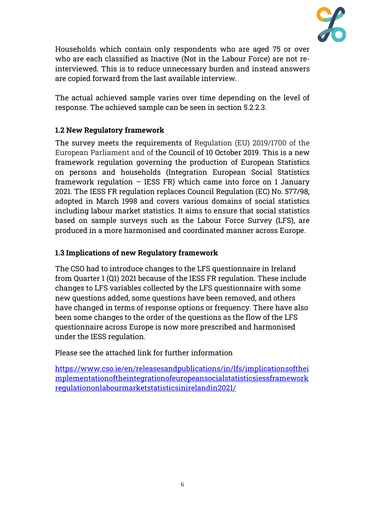

Households which contain only respondents who are aged 75 or over who are each classified as Inactive (Not in the Labour Force) are not reinterviewed. This is to reduce unnecessary burden and instead answers are copied forward from the last available interview.

The actual achieved sample varies over time depending on the level of response. The achieved sample can be seen in section 5.2.2.3.

# **1.2 New Regulatory framework**

The survey meets the requirements of Regulation (EU) 2019/1700 of the European Parliament and of the Council of 10 October 2019. This is a new framework regulation governing the production of European Statistics on persons and households (Integration European Social Statistics framework regulation – IESS FR) which came into force on 1 January 2021. The IESS FR regulation replaces Council Regulation (EC) No. 577/98, adopted in March 1998 and covers various domains of social statistics including labour market statistics. It aims to ensure that social statistics based on sample surveys such as the Labour Force Survey (LFS), are produced in a more harmonised and coordinated manner across Europe.

# **1.3 Implications of new Regulatory framework**

The CSO had to introduce changes to the LFS questionnaire in Ireland from Quarter 1 (Q1) 2021 because of the IESS FR regulation. These include changes to LFS variables collected by the LFS questionnaire with some new questions added, some questions have been removed, and others have changed in terms of response options or frequency. There have also been some changes to the order of the questions as the flow of the LFS questionnaire across Europe is now more prescribed and harmonised under the IESS regulation.

Please see the attached link for further information

[https://www.cso.ie/en/releasesandpublications/in/lfs/implicationsofthei](https://www.cso.ie/en/releasesandpublications/in/lfs/implicationsoftheimplementationoftheintegrationofeuropeansocialstatisticsiessframeworkregulationonlabourmarketstatisticsinirelandin2021/) [mplementationoftheintegrationofeuropeansocialstatisticsiessframework](https://www.cso.ie/en/releasesandpublications/in/lfs/implicationsoftheimplementationoftheintegrationofeuropeansocialstatisticsiessframeworkregulationonlabourmarketstatisticsinirelandin2021/) [regulationonlabourmarketstatisticsinirelandin2021/](https://www.cso.ie/en/releasesandpublications/in/lfs/implicationsoftheimplementationoftheintegrationofeuropeansocialstatisticsiessframeworkregulationonlabourmarketstatisticsinirelandin2021/)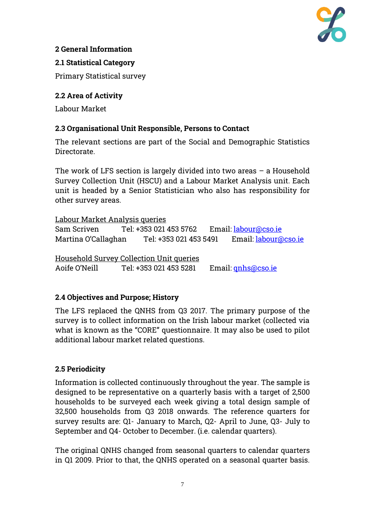

# **2 General Information**

### **2.1 Statistical Category**

Primary Statistical survey

# **2.2 Area of Activity**

Labour Market

# **2.3 Organisational Unit Responsible, Persons to Contact**

The relevant sections are part of the Social and Demographic Statistics Directorate.

The work of LFS section is largely divided into two areas – a Household Survey Collection Unit (HSCU) and a Labour Market Analysis unit. Each unit is headed by a Senior Statistician who also has responsibility for other survey areas.

Labour Market Analysis queries Sam Scriven Tel: +353 021 453 5762 Email: [labour@cso.ie](mailto:labour@cso.ie) Martina O'Callaghan Tel: +353 021 453 5491 Email: [labour@cso.ie](mailto:labour@cso.ie)

Household Survey Collection Unit queries Aoife O'Neill Tel: +353 021 453 5281 Email: [qnhs@cso.ie](mailto:qnhs@cso.ie)

# **2.4 Objectives and Purpose; History**

The LFS replaced the QNHS from Q3 2017. The primary purpose of the survey is to collect information on the Irish labour market (collected via what is known as the "CORE" questionnaire. It may also be used to pilot additional labour market related questions.

# **2.5 Periodicity**

Information is collected continuously throughout the year. The sample is designed to be representative on a quarterly basis with a target of 2,500 households to be surveyed each week giving a total design sample of 32,500 households from Q3 2018 onwards. The reference quarters for survey results are: Q1- January to March, Q2- April to June, Q3- July to September and Q4- October to December. (i.e. calendar quarters).

The original QNHS changed from seasonal quarters to calendar quarters in Q1 2009. Prior to that, the QNHS operated on a seasonal quarter basis.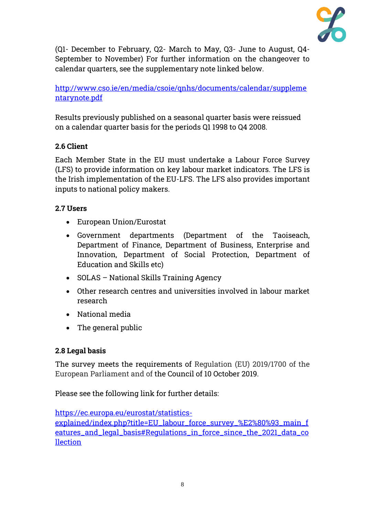

(Q1- December to February, Q2- March to May, Q3- June to August, Q4- September to November) For further information on the changeover to calendar quarters, see the supplementary note linked below.

# [http://www.cso.ie/en/media/csoie/qnhs/documents/calendar/suppleme](http://www.cso.ie/en/media/csoie/qnhs/documents/calendar/supplementarynote.pdf) [ntarynote.pdf](http://www.cso.ie/en/media/csoie/qnhs/documents/calendar/supplementarynote.pdf)

Results previously published on a seasonal quarter basis were reissued on a calendar quarter basis for the periods Q1 1998 to Q4 2008.

# **2.6 Client**

Each Member State in the EU must undertake a Labour Force Survey (LFS) to provide information on key labour market indicators. The LFS is the Irish implementation of the EU-LFS. The LFS also provides important inputs to national policy makers.

# **2.7 Users**

- European Union/Eurostat
- Government departments (Department of the Taoiseach, Department of Finance, Department of Business, Enterprise and Innovation, Department of Social Protection, Department of Education and Skills etc)
- SOLAS National Skills Training Agency
- Other research centres and universities involved in labour market research
- National media
- The general public

# **2.8 Legal basis**

The survey meets the requirements of Regulation (EU) 2019/1700 of the European Parliament and of the Council of 10 October 2019.

Please see the following link for further details:

[https://ec.europa.eu/eurostat/statistics](https://ec.europa.eu/eurostat/statistics-explained/index.php?title=EU_labour_force_survey_%E2%80%93_main_features_and_legal_basis#Regulations_in_force_since_the_2021_data_collection)[explained/index.php?title=EU\\_labour\\_force\\_survey\\_%E2%80%93\\_main\\_f](https://ec.europa.eu/eurostat/statistics-explained/index.php?title=EU_labour_force_survey_%E2%80%93_main_features_and_legal_basis#Regulations_in_force_since_the_2021_data_collection) [eatures\\_and\\_legal\\_basis#Regulations\\_in\\_force\\_since\\_the\\_2021\\_data\\_co](https://ec.europa.eu/eurostat/statistics-explained/index.php?title=EU_labour_force_survey_%E2%80%93_main_features_and_legal_basis#Regulations_in_force_since_the_2021_data_collection) [llection](https://ec.europa.eu/eurostat/statistics-explained/index.php?title=EU_labour_force_survey_%E2%80%93_main_features_and_legal_basis#Regulations_in_force_since_the_2021_data_collection)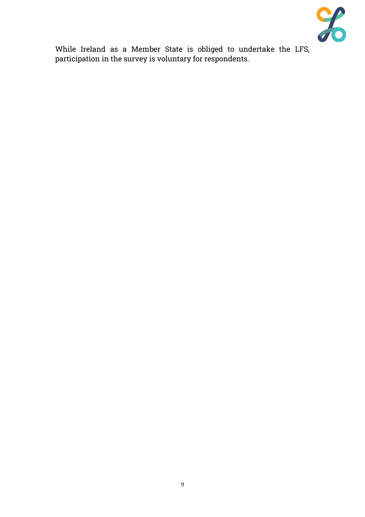

While Ireland as a Member State is obliged to undertake the LFS, participation in the survey is voluntary for respondents.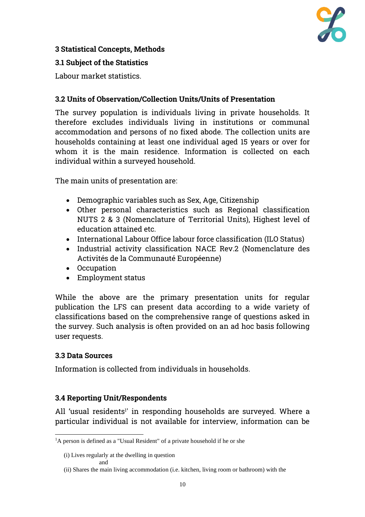

# **3 Statistical Concepts, Methods**

#### **3.1 Subject of the Statistics**

Labour market statistics.

### **3.2 Units of Observation/Collection Units/Units of Presentation**

The survey population is individuals living in private households. It therefore excludes individuals living in institutions or communal accommodation and persons of no fixed abode. The collection units are households containing at least one individual aged 15 years or over for whom it is the main residence. Information is collected on each individual within a surveyed household.

The main units of presentation are:

- Demographic variables such as Sex, Age, Citizenship
- Other personal characteristics such as Regional classification NUTS 2 & 3 (Nomenclature of Territorial Units), Highest level of education attained etc.
- International Labour Office labour force classification (ILO Status)
- Industrial activity classification NACE Rev.2 (Nomenclature des Activités de la Communauté Européenne)
- Occupation
- Employment status

While the above are the primary presentation units for regular publication the LFS can present data according to a wide variety of classifications based on the comprehensive range of questions asked in the survey. Such analysis is often provided on an ad hoc basis following user requests.

#### **3.3 Data Sources**

Information is collected from individuals in households.

#### **3.4 Reporting Unit/Respondents**

All 'usual residents<sup>1</sup>' in responding households are surveyed. Where a particular individual is not available for interview, information can be

<sup>&</sup>lt;sup>1</sup>A person is defined as a "Usual Resident" of a private household if he or she

<sup>(</sup>i) Lives regularly at the dwelling in question and

<sup>(</sup>ii) Shares the main living accommodation (i.e. kitchen, living room or bathroom) with the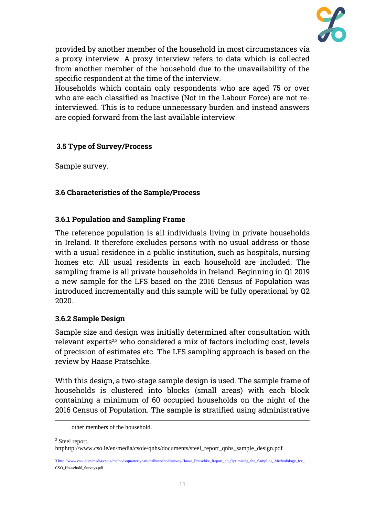

provided by another member of the household in most circumstances via a proxy interview. A proxy interview refers to data which is collected from another member of the household due to the unavailability of the specific respondent at the time of the interview.

Households which contain only respondents who are aged 75 or over who are each classified as Inactive (Not in the Labour Force) are not reinterviewed. This is to reduce unnecessary burden and instead answers are copied forward from the last available interview.

### **3.5 Type of Survey/Process**

Sample survey.

### **3.6 Characteristics of the Sample/Process**

#### **3.6.1 Population and Sampling Frame**

The reference population is all individuals living in private households in Ireland. It therefore excludes persons with no usual address or those with a usual residence in a public institution, such as hospitals, nursing homes etc. All usual residents in each household are included. The sampling frame is all private households in Ireland. Beginning in Q1 2019 a new sample for the LFS based on the 2016 Census of Population was introduced incrementally and this sample will be fully operational by Q2 2020.

#### **3.6.2 Sample Design**

Sample size and design was initially determined after consultation with relevant experts 2,3 who considered a mix of factors including cost, levels of precision of estimates etc. The LFS sampling approach is based on the review by Haase Pratschke.

With this design, a two-stage sample design is used. The sample frame of households is clustered into blocks (small areas) with each block containing a minimum of 60 occupied households on the night of the 2016 Census of Population. The sample is stratified using administrative

<sup>2</sup> Steel report,

httphttp://www.cso.ie/en/media/csoie/qnhs/documents/steel\_report\_qnhs\_sample\_design.pdf

other members of the household.

<sup>3</sup> http://www.cso.ie/en/media/csoie/methods/quarterlynationalhouseholdsurvey/Haase\_Pratschke\_Report\_on\_Optimising\_the\_Sampling\_Methodology\_for CSO\_Household\_Surveys.pdf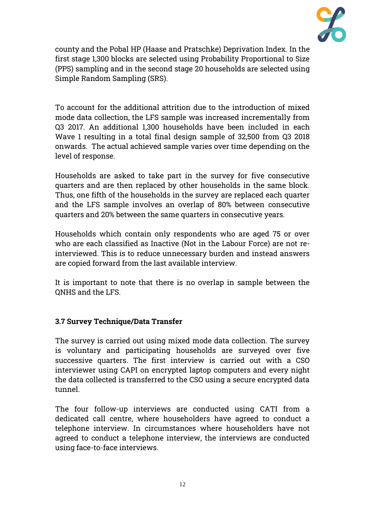

county and the Pobal HP (Haase and Pratschke) Deprivation Index. In the first stage 1,300 blocks are selected using Probability Proportional to Size (PPS) sampling and in the second stage 20 households are selected using Simple Random Sampling (SRS).

To account for the additional attrition due to the introduction of mixed mode data collection, the LFS sample was increased incrementally from Q3 2017. An additional 1,300 households have been included in each Wave 1 resulting in a total final design sample of 32,500 from Q3 2018 onwards. The actual achieved sample varies over time depending on the level of response.

Households are asked to take part in the survey for five consecutive quarters and are then replaced by other households in the same block. Thus, one fifth of the households in the survey are replaced each quarter and the LFS sample involves an overlap of 80% between consecutive quarters and 20% between the same quarters in consecutive years.

Households which contain only respondents who are aged 75 or over who are each classified as Inactive (Not in the Labour Force) are not reinterviewed. This is to reduce unnecessary burden and instead answers are copied forward from the last available interview.

It is important to note that there is no overlap in sample between the QNHS and the LFS.

# **3.7 Survey Technique/Data Transfer**

The survey is carried out using mixed mode data collection. The survey is voluntary and participating households are surveyed over five successive quarters. The first interview is carried out with a CSO interviewer using CAPI on encrypted laptop computers and every night the data collected is transferred to the CSO using a secure encrypted data tunnel.

The four follow-up interviews are conducted using CATI from a dedicated call centre, where householders have agreed to conduct a telephone interview. In circumstances where householders have not agreed to conduct a telephone interview, the interviews are conducted using face-to-face interviews.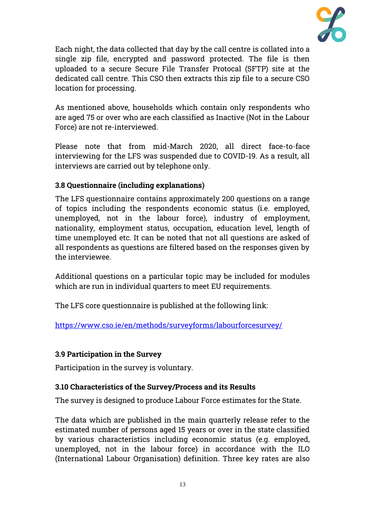

Each night, the data collected that day by the call centre is collated into a single zip file, encrypted and password protected. The file is then uploaded to a secure Secure File Transfer Protocal (SFTP) site at the dedicated call centre. This CSO then extracts this zip file to a secure CSO location for processing.

As mentioned above, households which contain only respondents who are aged 75 or over who are each classified as Inactive (Not in the Labour Force) are not re-interviewed.

Please note that from mid-March 2020, all direct face-to-face interviewing for the LFS was suspended due to COVID-19. As a result, all interviews are carried out by telephone only.

# **3.8 Questionnaire (including explanations)**

The LFS questionnaire contains approximately 200 questions on a range of topics including the respondents economic status (i.e. employed, unemployed, not in the labour force), industry of employment, nationality, employment status, occupation, education level, length of time unemployed etc. It can be noted that not all questions are asked of all respondents as questions are filtered based on the responses given by the interviewee.

Additional questions on a particular topic may be included for modules which are run in individual quarters to meet EU requirements.

The LFS core questionnaire is published at the following link:

<https://www.cso.ie/en/methods/surveyforms/labourforcesurvey/>

# **3.9 Participation in the Survey**

Participation in the survey is voluntary.

# **3.10 Characteristics of the Survey/Process and its Results**

The survey is designed to produce Labour Force estimates for the State.

The data which are published in the main quarterly release refer to the estimated number of persons aged 15 years or over in the state classified by various characteristics including economic status (e.g. employed, unemployed, not in the labour force) in accordance with the ILO (International Labour Organisation) definition. Three key rates are also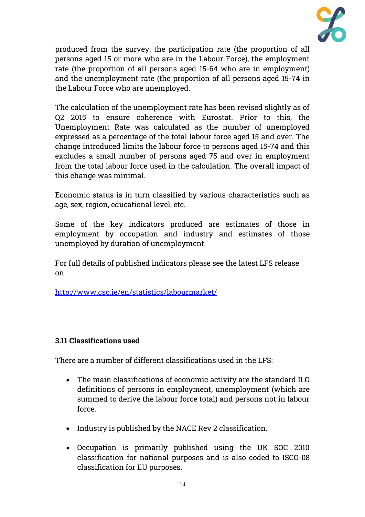

produced from the survey: the participation rate (the proportion of all persons aged 15 or more who are in the Labour Force), the employment rate (the proportion of all persons aged 15-64 who are in employment) and the unemployment rate (the proportion of all persons aged 15-74 in the Labour Force who are unemployed.

The calculation of the unemployment rate has been revised slightly as of Q2 2015 to ensure coherence with Eurostat. Prior to this, the Unemployment Rate was calculated as the number of unemployed expressed as a percentage of the total labour force aged 15 and over. The change introduced limits the labour force to persons aged 15-74 and this excludes a small number of persons aged 75 and over in employment from the total labour force used in the calculation. The overall impact of this change was minimal.

Economic status is in turn classified by various characteristics such as age, sex, region, educational level, etc.

Some of the key indicators produced are estimates of those in employment by occupation and industry and estimates of those unemployed by duration of unemployment.

For full details of published indicators please see the latest LFS release on

<http://www.cso.ie/en/statistics/labourmarket/>

#### **3.11 Classifications used**

There are a number of different classifications used in the LFS:

- The main classifications of economic activity are the standard ILO definitions of persons in employment, unemployment (which are summed to derive the labour force total) and persons not in labour force.
- Industry is published by the NACE Rev 2 classification.
- Occupation is primarily published using the UK SOC 2010 classification for national purposes and is also coded to ISCO-08 classification for EU purposes.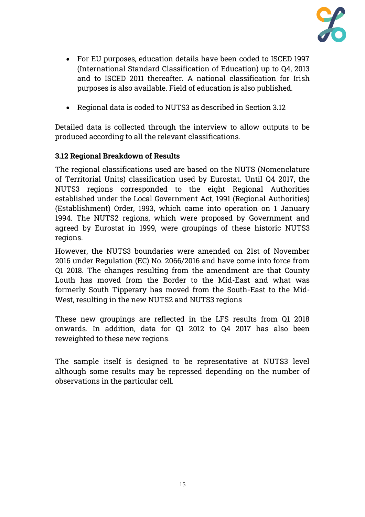

- For EU purposes, education details have been coded to ISCED 1997 (International Standard Classification of Education) up to Q4, 2013 and to ISCED 2011 thereafter. A national classification for Irish purposes is also available. Field of education is also published.
- Regional data is coded to NUTS3 as described in Section 3.12

Detailed data is collected through the interview to allow outputs to be produced according to all the relevant classifications.

### **3.12 Regional Breakdown of Results**

The regional classifications used are based on the NUTS (Nomenclature of Territorial Units) classification used by Eurostat. Until Q4 2017, the NUTS3 regions corresponded to the eight Regional Authorities established under the Local Government Act, 1991 (Regional Authorities) (Establishment) Order, 1993, which came into operation on 1 January 1994. The NUTS2 regions, which were proposed by Government and agreed by Eurostat in 1999, were groupings of these historic NUTS3 regions.

However, the NUTS3 boundaries were amended on 21st of November 2016 under Regulation (EC) No. 2066/2016 and have come into force from Q1 2018. The changes resulting from the amendment are that County Louth has moved from the Border to the Mid-East and what was formerly South Tipperary has moved from the South-East to the Mid-West, resulting in the new NUTS2 and NUTS3 regions

These new groupings are reflected in the LFS results from Q1 2018 onwards. In addition, data for Q1 2012 to Q4 2017 has also been reweighted to these new regions.

The sample itself is designed to be representative at NUTS3 level although some results may be repressed depending on the number of observations in the particular cell.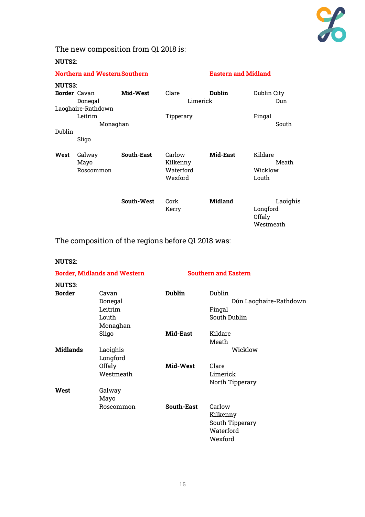

# The new composition from Q1 2018 is:

#### **NUTS2**:

| <b>Northern and Western Southern</b> |                     |                   | <b>Eastern and Midland</b> |                |             |
|--------------------------------------|---------------------|-------------------|----------------------------|----------------|-------------|
| <b>NUTS3:</b>                        |                     |                   |                            |                |             |
|                                      | <b>Border</b> Cavan | Mid-West          | Clare                      | <b>Dublin</b>  | Dublin City |
|                                      | Donegal             |                   | Limerick                   |                | Dun         |
|                                      | Laoghaire-Rathdown  |                   |                            |                |             |
|                                      | Leitrim             |                   | Tipperary                  |                | Fingal      |
|                                      | Monaghan            |                   |                            |                | South       |
| Dublin                               |                     |                   |                            |                |             |
|                                      | Sligo               |                   |                            |                |             |
| West                                 | Galway              | <b>South-East</b> | Carlow                     | Mid-East       | Kildare     |
|                                      | Mayo                |                   | Kilkenny                   |                | Meath       |
|                                      | Roscommon           |                   | Waterford                  |                | Wicklow     |
|                                      |                     |                   | Wexford                    |                | Louth       |
|                                      |                     | South-West        | Cork                       | <b>Midland</b> | Laoighis    |
|                                      |                     |                   | Kerry                      |                | Longford    |
|                                      |                     |                   |                            |                | Offaly      |
|                                      |                     |                   |                            |                | Westmeath   |

The composition of the regions before Q1 2018 was:

**NUTS2**:

| <b>Border, Midlands and Western</b> |           |               | <b>Southern and Eastern</b> |
|-------------------------------------|-----------|---------------|-----------------------------|
| <b>NUTS3:</b>                       |           |               |                             |
| <b>Border</b>                       | Cavan     | <b>Dublin</b> | Dublin                      |
|                                     | Donegal   |               | Dún Laoghaire-Rathdown      |
|                                     | Leitrim   |               | Fingal                      |
|                                     | Louth     |               | South Dublin                |
|                                     | Monaghan  |               |                             |
|                                     | Sligo     | Mid-East      | Kildare                     |
|                                     |           |               | Meath                       |
| <b>Midlands</b>                     | Laoighis  |               | Wicklow                     |
|                                     | Longford  |               |                             |
|                                     | Offaly    | Mid-West      | Clare                       |
|                                     | Westmeath |               | Limerick                    |
|                                     |           |               | North Tipperary             |
| West                                | Galway    |               |                             |
|                                     | Mayo      |               |                             |
|                                     | Roscommon | South-East    | Carlow                      |
|                                     |           |               | Kilkenny                    |
|                                     |           |               | South Tipperary             |
|                                     |           |               | Waterford                   |
|                                     |           |               | Wexford                     |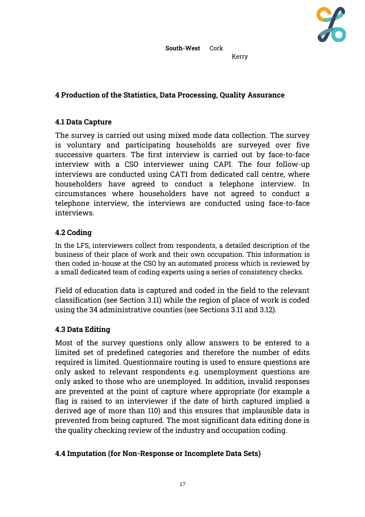

#### Kerry

#### **4 Production of the Statistics, Data Processing, Quality Assurance**

#### **4.1 Data Capture**

The survey is carried out using mixed mode data collection. The survey is voluntary and participating households are surveyed over five successive quarters. The first interview is carried out by face-to-face interview with a CSO interviewer using CAPI. The four follow-up interviews are conducted using CATI from dedicated call centre, where householders have agreed to conduct a telephone interview. In circumstances where householders have not agreed to conduct a telephone interview, the interviews are conducted using face-to-face interviews.

### **4.2 Coding**

In the LFS, interviewers collect from respondents, a detailed description of the business of their place of work and their own occupation. This information is then coded in-house at the CSO by an automated process which is reviewed by a small dedicated team of coding experts using a series of consistency checks.

Field of education data is captured and coded in the field to the relevant classification (see Section 3.11) while the region of place of work is coded using the 34 administrative counties (see Sections 3.11 and 3.12).

#### **4.3 Data Editing**

Most of the survey questions only allow answers to be entered to a limited set of predefined categories and therefore the number of edits required is limited. Questionnaire routing is used to ensure questions are only asked to relevant respondents e.g. unemployment questions are only asked to those who are unemployed. In addition, invalid responses are prevented at the point of capture where appropriate (for example a flag is raised to an interviewer if the date of birth captured implied a derived age of more than 110) and this ensures that implausible data is prevented from being captured. The most significant data editing done is the quality checking review of the industry and occupation coding.

#### **4.4 Imputation (for Non-Response or Incomplete Data Sets)**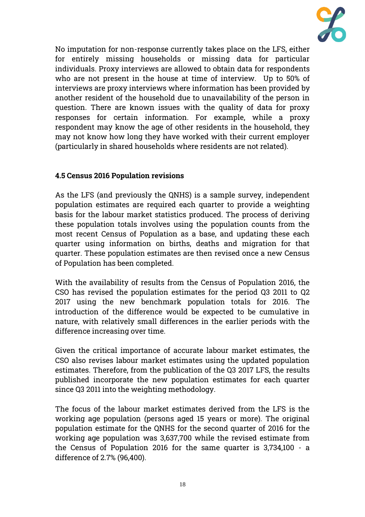

No imputation for non-response currently takes place on the LFS, either for entirely missing households or missing data for particular individuals. Proxy interviews are allowed to obtain data for respondents who are not present in the house at time of interview. Up to 50% of interviews are proxy interviews where information has been provided by another resident of the household due to unavailability of the person in question. There are known issues with the quality of data for proxy responses for certain information. For example, while a proxy respondent may know the age of other residents in the household, they may not know how long they have worked with their current employer (particularly in shared households where residents are not related).

### **4.5 Census 2016 Population revisions**

As the LFS (and previously the QNHS) is a sample survey, independent population estimates are required each quarter to provide a weighting basis for the labour market statistics produced. The process of deriving these population totals involves using the population counts from the most recent Census of Population as a base, and updating these each quarter using information on births, deaths and migration for that quarter. These population estimates are then revised once a new Census of Population has been completed.

With the availability of results from the Census of Population 2016, the CSO has revised the population estimates for the period Q3 2011 to Q2 2017 using the new benchmark population totals for 2016. The introduction of the difference would be expected to be cumulative in nature, with relatively small differences in the earlier periods with the difference increasing over time.

Given the critical importance of accurate labour market estimates, the CSO also revises labour market estimates using the updated population estimates. Therefore, from the publication of the Q3 2017 LFS, the results published incorporate the new population estimates for each quarter since Q3 2011 into the weighting methodology.

The focus of the labour market estimates derived from the LFS is the working age population (persons aged 15 years or more). The original population estimate for the QNHS for the second quarter of 2016 for the working age population was 3,637,700 while the revised estimate from the Census of Population 2016 for the same quarter is 3,734,100 - a difference of 2.7% (96,400).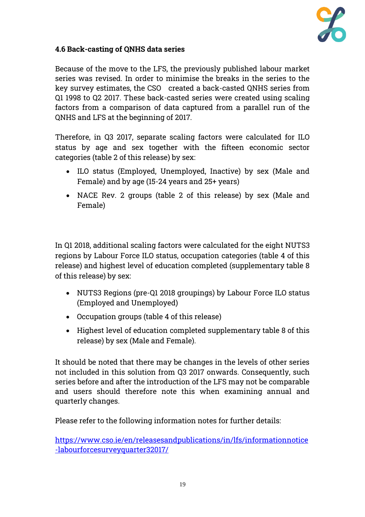

### **4.6 Back-casting of QNHS data series**

Because of the move to the LFS, the previously published labour market series was revised. In order to minimise the breaks in the series to the key survey estimates, the CSO created a back-casted QNHS series from Q1 1998 to Q2 2017. These back-casted series were created using scaling factors from a comparison of data captured from a parallel run of the QNHS and LFS at the beginning of 2017.

Therefore, in Q3 2017, separate scaling factors were calculated for ILO status by age and sex together with the fifteen economic sector categories (table 2 of this release) by sex:

- ILO status (Employed, Unemployed, Inactive) by sex (Male and Female) and by age (15-24 years and 25+ years)
- NACE Rev. 2 groups (table 2 of this release) by sex (Male and Female)

In Q1 2018, additional scaling factors were calculated for the eight NUTS3 regions by Labour Force ILO status, occupation categories (table 4 of this release) and highest level of education completed (supplementary table 8 of this release) by sex:

- NUTS3 Regions (pre-Q1 2018 groupings) by Labour Force ILO status (Employed and Unemployed)
- Occupation groups (table 4 of this release)
- Highest level of education completed supplementary table 8 of this release) by sex (Male and Female).

It should be noted that there may be changes in the levels of other series not included in this solution from Q3 2017 onwards. Consequently, such series before and after the introduction of the LFS may not be comparable and users should therefore note this when examining annual and quarterly changes.

Please refer to the following information notes for further details:

[https://www.cso.ie/en/releasesandpublications/in/lfs/informationnotice](https://www.cso.ie/en/releasesandpublications/in/lfs/informationnotice-labourforcesurveyquarter32017/) [-labourforcesurveyquarter32017/](https://www.cso.ie/en/releasesandpublications/in/lfs/informationnotice-labourforcesurveyquarter32017/)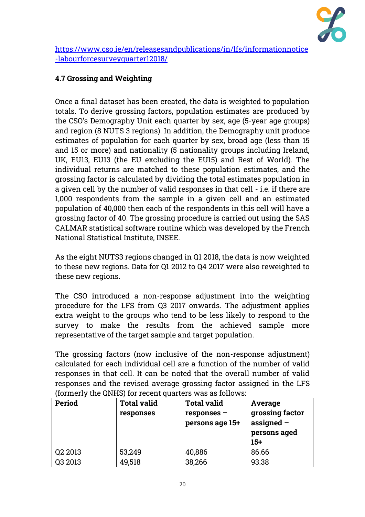

[https://www.cso.ie/en/releasesandpublications/in/lfs/informationnotice](https://www.cso.ie/en/releasesandpublications/in/lfs/informationnotice-labourforcesurveyquarter12018/) [-labourforcesurveyquarter12018/](https://www.cso.ie/en/releasesandpublications/in/lfs/informationnotice-labourforcesurveyquarter12018/)

# **4.7 Grossing and Weighting**

Once a final dataset has been created, the data is weighted to population totals. To derive grossing factors, population estimates are produced by the CSO's Demography Unit each quarter by sex, age (5-year age groups) and region (8 NUTS 3 regions). In addition, the Demography unit produce estimates of population for each quarter by sex, broad age (less than 15 and 15 or more) and nationality (5 nationality groups including Ireland, UK, EU13, EU13 (the EU excluding the EU15) and Rest of World). The individual returns are matched to these population estimates, and the grossing factor is calculated by dividing the total estimates population in a given cell by the number of valid responses in that cell - i.e. if there are 1,000 respondents from the sample in a given cell and an estimated population of 40,000 then each of the respondents in this cell will have a grossing factor of 40. The grossing procedure is carried out using the SAS CALMAR statistical software routine which was developed by the French National Statistical Institute, INSEE.

As the eight NUTS3 regions changed in Q1 2018, the data is now weighted to these new regions. Data for Q1 2012 to Q4 2017 were also reweighted to these new regions.

The CSO introduced a non-response adjustment into the weighting procedure for the LFS from Q3 2017 onwards. The adjustment applies extra weight to the groups who tend to be less likely to respond to the survey to make the results from the achieved sample more representative of the target sample and target population.

The grossing factors (now inclusive of the non-response adjustment) calculated for each individual cell are a function of the number of valid responses in that cell. It can be noted that the overall number of valid responses and the revised average grossing factor assigned in the LFS (formerly the QNHS) for recent quarters was as follows:

| <b>Period</b> | <b>Total valid</b><br>responses | <b>Total valid</b><br>responses -<br>persons age 15+ | Average<br>grossing factor<br>assigned $-$<br>persons aged<br>$15+$ |
|---------------|---------------------------------|------------------------------------------------------|---------------------------------------------------------------------|
| Q2 2013       | 53,249                          | 40,886                                               | 86.66                                                               |
| Q3 2013       | 49,518                          | 38,266                                               | 93.38                                                               |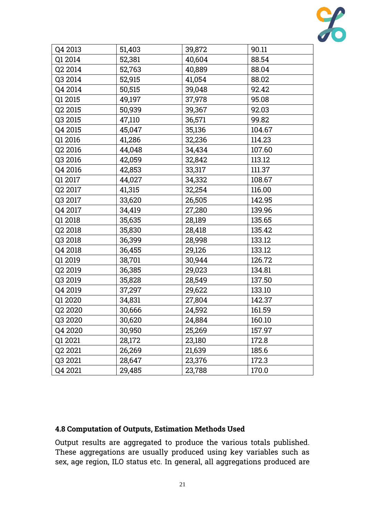

| Q4 2013 | 51,403 | 39,872 | 90.11  |
|---------|--------|--------|--------|
| Q1 2014 | 52,381 | 40,604 | 88.54  |
| Q2 2014 | 52,763 | 40,889 | 88.04  |
| Q3 2014 | 52,915 | 41,054 | 88.02  |
| Q4 2014 | 50,515 | 39,048 | 92.42  |
| Q1 2015 | 49,197 | 37,978 | 95.08  |
| Q2 2015 | 50,939 | 39,367 | 92.03  |
| Q3 2015 | 47,110 | 36,571 | 99.82  |
| Q4 2015 | 45,047 | 35,136 | 104.67 |
| Q1 2016 | 41,286 | 32,236 | 114.23 |
| Q2 2016 | 44,048 | 34,434 | 107.60 |
| Q3 2016 | 42,059 | 32,842 | 113.12 |
| Q4 2016 | 42,853 | 33,317 | 111.37 |
| Q1 2017 | 44,027 | 34,332 | 108.67 |
| Q2 2017 | 41,315 | 32,254 | 116.00 |
| Q3 2017 | 33,620 | 26,505 | 142.95 |
| Q4 2017 | 34,419 | 27,280 | 139.96 |
| Q1 2018 | 35,635 | 28,189 | 135.65 |
| Q2 2018 | 35,830 | 28,418 | 135.42 |
| Q3 2018 | 36,399 | 28,998 | 133.12 |
| Q4 2018 | 36,455 | 29,126 | 133.12 |
| Q1 2019 | 38,701 | 30,944 | 126.72 |
| Q2 2019 | 36,385 | 29,023 | 134.81 |
| Q3 2019 | 35,828 | 28,549 | 137.50 |
| Q4 2019 | 37,297 | 29,622 | 133.10 |
| Q1 2020 | 34,831 | 27,804 | 142.37 |
| Q2 2020 | 30,666 | 24,592 | 161.59 |
| Q3 2020 | 30,620 | 24,884 | 160.10 |
| Q4 2020 | 30,950 | 25,269 | 157.97 |
| Q1 2021 | 28,172 | 23,180 | 172.8  |
| Q2 2021 | 26,269 | 21,639 | 185.6  |
| Q3 2021 | 28,647 | 23,376 | 172.3  |
| Q4 2021 | 29,485 | 23,788 | 170.0  |

# **4.8 Computation of Outputs, Estimation Methods Used**

Output results are aggregated to produce the various totals published. These aggregations are usually produced using key variables such as sex, age region, ILO status etc. In general, all aggregations produced are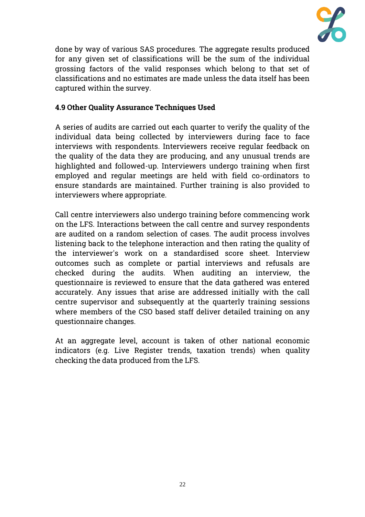

done by way of various SAS procedures. The aggregate results produced for any given set of classifications will be the sum of the individual grossing factors of the valid responses which belong to that set of classifications and no estimates are made unless the data itself has been captured within the survey.

# **4.9 Other Quality Assurance Techniques Used**

A series of audits are carried out each quarter to verify the quality of the individual data being collected by interviewers during face to face interviews with respondents. Interviewers receive regular feedback on the quality of the data they are producing, and any unusual trends are highlighted and followed-up. Interviewers undergo training when first employed and regular meetings are held with field co-ordinators to ensure standards are maintained. Further training is also provided to interviewers where appropriate.

Call centre interviewers also undergo training before commencing work on the LFS. Interactions between the call centre and survey respondents are audited on a random selection of cases. The audit process involves listening back to the telephone interaction and then rating the quality of the interviewer's work on a standardised score sheet. Interview outcomes such as complete or partial interviews and refusals are checked during the audits. When auditing an interview, the questionnaire is reviewed to ensure that the data gathered was entered accurately. Any issues that arise are addressed initially with the call centre supervisor and subsequently at the quarterly training sessions where members of the CSO based staff deliver detailed training on any questionnaire changes.

At an aggregate level, account is taken of other national economic indicators (e.g. Live Register trends, taxation trends) when quality checking the data produced from the LFS.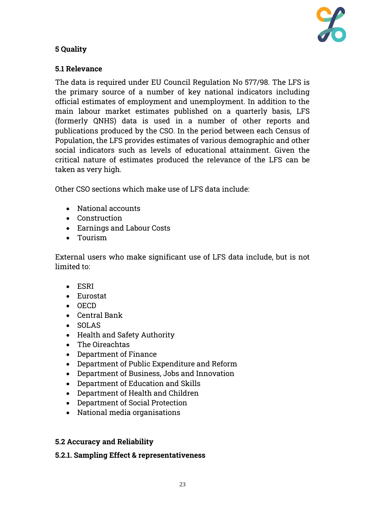

# **5 Quality**

# **5.1 Relevance**

The data is required under EU Council Regulation No 577/98. The LFS is the primary source of a number of key national indicators including official estimates of employment and unemployment. In addition to the main labour market estimates published on a quarterly basis, LFS (formerly QNHS) data is used in a number of other reports and publications produced by the CSO. In the period between each Census of Population, the LFS provides estimates of various demographic and other social indicators such as levels of educational attainment. Given the critical nature of estimates produced the relevance of the LFS can be taken as very high.

Other CSO sections which make use of LFS data include:

- National accounts
- Construction
- Earnings and Labour Costs
- Tourism

External users who make significant use of LFS data include, but is not limited to:

- ESRI
- Eurostat
- OECD
- Central Bank
- SOLAS
- Health and Safety Authority
- The Oireachtas
- Department of Finance
- Department of Public Expenditure and Reform
- Department of Business, Jobs and Innovation
- Department of Education and Skills
- Department of Health and Children
- Department of Social Protection
- National media organisations

#### **5.2 Accuracy and Reliability**

#### **5.2.1. Sampling Effect & representativeness**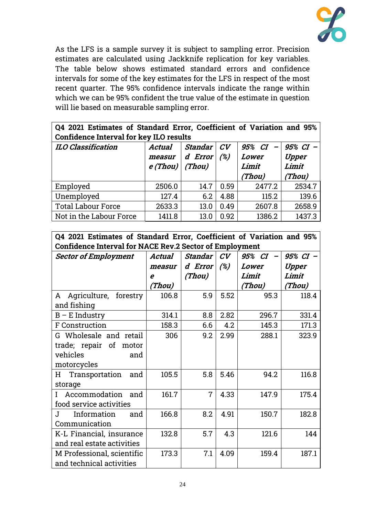

As the LFS is a sample survey it is subject to sampling error. Precision estimates are calculated using Jackknife replication for key variables. The table below shows estimated standard errors and confidence intervals for some of the key estimates for the LFS in respect of the most recent quarter. The 95% confidence intervals indicate the range within which we can be 95% confident the true value of the estimate in question will lie based on measurable sampling error.

|                                         |  | Q4 2021 Estimates of Standard Error, Coefficient of Variation and 95% |  |  |
|-----------------------------------------|--|-----------------------------------------------------------------------|--|--|
| Confidence Interval for key ILO results |  |                                                                       |  |  |

| <b>ILO Classification</b> | <b>Actual</b> | <b>Standar</b> | CV   | 95% CI<br>$\qquad \qquad$ | 95% CI - |  |  |
|---------------------------|---------------|----------------|------|---------------------------|----------|--|--|
|                           | measur        | d Error        | (%)  | Lower                     | Upper    |  |  |
|                           | e (Thou)      | (Thou)         |      | Limit                     | Limit    |  |  |
|                           |               |                |      | (Thou)                    | (Thou)   |  |  |
| Employed                  | 2506.0        | 14.7           | 0.59 | 2477.2                    | 2534.7   |  |  |
| Unemployed                | 127.4         | 6.2            | 4.88 | 115.2                     | 139.6    |  |  |
| <b>Total Labour Force</b> | 2633.3        | 13.0           | 0.49 | 2607.8                    | 2658.9   |  |  |
| Not in the Labour Force   | 1411.8        | 13.0           | 0.92 | 1386.2                    | 1437.3   |  |  |

**Q4 2021 Estimates of Standard Error, Coefficient of Variation and 95% Confidence Interval for NACE Rev.2 Sector of Employment**

| merval for two never because of Employment |        |                |      |          |        |  |
|--------------------------------------------|--------|----------------|------|----------|--------|--|
| <b>Sector of Employment</b>                | Actual | Standar        | CV   | 95% CI - | 95% CI |  |
|                                            | measur | d Error        | (%)  | Lower    | Upper  |  |
|                                            | e      | (Thou)         |      | Limit    | Limit  |  |
|                                            | (Thou) |                |      | (Thou)   | (Thou) |  |
| Agriculture, forestry<br>A                 | 106.8  | 5.9            | 5.52 | 95.3     | 118.4  |  |
| and fishing                                |        |                |      |          |        |  |
| $B - E$ Industry                           | 314.1  | 8.8            | 2.82 | 296.7    | 331.4  |  |
| F Construction                             | 158.3  | 6.6            | 4.2  | 145.3    | 171.3  |  |
| G Wholesale and retail                     | 306    | 9.2            | 2.99 | 288.1    | 323.9  |  |
| trade; repair of motor                     |        |                |      |          |        |  |
| vehicles<br>and                            |        |                |      |          |        |  |
| motorcycles                                |        |                |      |          |        |  |
| Transportation<br>H<br>and                 | 105.5  | 5.8            | 5.46 | 94.2     | 116.8  |  |
| storage                                    |        |                |      |          |        |  |
| Accommodation<br>and<br>L                  | 161.7  | $\overline{7}$ | 4.33 | 147.9    | 175.4  |  |
| food service activities                    |        |                |      |          |        |  |
| Information<br>$\mathbf I$ .<br>and        | 166.8  | 8.2            | 4.91 | 150.7    | 182.8  |  |
| Communication                              |        |                |      |          |        |  |
| K-L Financial, insurance                   | 132.8  | 5.7            | 4.3  | 121.6    | 144    |  |
| and real estate activities                 |        |                |      |          |        |  |
| M Professional, scientific                 | 173.3  | 7.1            | 4.09 | 159.4    | 187.1  |  |
| and technical activities                   |        |                |      |          |        |  |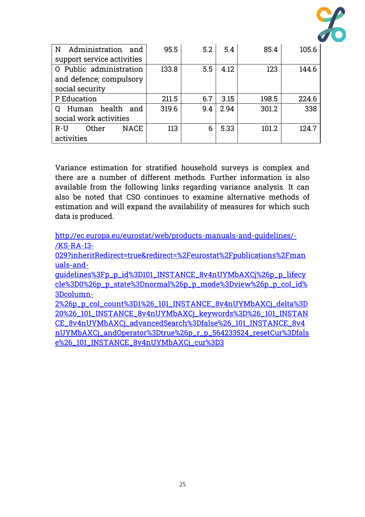

| Administration and<br>N       | 95.5  | 5.2 | 5.4  | 85.4  | 105.6 |
|-------------------------------|-------|-----|------|-------|-------|
| support service activities    |       |     |      |       |       |
| O Public administration       | 133.8 | 5.5 | 4.12 | 123   | 144.6 |
| and defence; compulsory       |       |     |      |       |       |
| social security               |       |     |      |       |       |
| P Education                   | 211.5 | 6.7 | 3.15 | 198.5 | 224.6 |
| health<br>Human<br>and        | 319.6 | 9.4 | 2.94 | 301.2 | 338   |
| social work activities        |       |     |      |       |       |
| Other<br><b>NACE</b><br>$R-U$ | 113   | 6   | 5.33 | 101.2 | 124.7 |
| activities                    |       |     |      |       |       |

Variance estimation for stratified household surveys is complex and there are a number of different methods. Further information is also available from the following links regarding variance analysis. It can also be noted that CSO continues to examine alternative methods of estimation and will expand the availability of measures for which such data is produced.

[http://ec.europa.eu/eurostat/web/products-manuals-and-guidelines/-](http://ec.europa.eu/eurostat/web/products-manuals-and-guidelines/-/KS-RA-13-029?inheritRedirect=true&redirect=%2Feurostat%2Fpublications%2Fmanuals-and-guidelines%3Fp_p_id%3D101_INSTANCE_8v4nUYMbAXCj%26p_p_lifecycle%3D0%26p_p_state%3Dnormal%26p_p_mode%3Dview%26p_p_col_id%3Dcolumn-2%26p_p_col_count%3D1%26_101_INSTANCE_8v4nUYMbAXCj_delta%3D20%26_101_INSTANCE_8v4nUYMbAXCj_keywords%3D%26_101_INSTANCE_8v4nUYMbAXCj_advancedSearch%3Dfalse%26_101_INSTANCE_8v4nUYMbAXCj_andOperator%3Dtrue%26p_r_p_564233524_resetCur%3Dfalse%26_101_INSTANCE_8v4nUYMbAXCj_cur%3D3) [/KS-RA-13-](http://ec.europa.eu/eurostat/web/products-manuals-and-guidelines/-/KS-RA-13-029?inheritRedirect=true&redirect=%2Feurostat%2Fpublications%2Fmanuals-and-guidelines%3Fp_p_id%3D101_INSTANCE_8v4nUYMbAXCj%26p_p_lifecycle%3D0%26p_p_state%3Dnormal%26p_p_mode%3Dview%26p_p_col_id%3Dcolumn-2%26p_p_col_count%3D1%26_101_INSTANCE_8v4nUYMbAXCj_delta%3D20%26_101_INSTANCE_8v4nUYMbAXCj_keywords%3D%26_101_INSTANCE_8v4nUYMbAXCj_advancedSearch%3Dfalse%26_101_INSTANCE_8v4nUYMbAXCj_andOperator%3Dtrue%26p_r_p_564233524_resetCur%3Dfalse%26_101_INSTANCE_8v4nUYMbAXCj_cur%3D3)

[029?inheritRedirect=true&redirect=%2Feurostat%2Fpublications%2Fman](http://ec.europa.eu/eurostat/web/products-manuals-and-guidelines/-/KS-RA-13-029?inheritRedirect=true&redirect=%2Feurostat%2Fpublications%2Fmanuals-and-guidelines%3Fp_p_id%3D101_INSTANCE_8v4nUYMbAXCj%26p_p_lifecycle%3D0%26p_p_state%3Dnormal%26p_p_mode%3Dview%26p_p_col_id%3Dcolumn-2%26p_p_col_count%3D1%26_101_INSTANCE_8v4nUYMbAXCj_delta%3D20%26_101_INSTANCE_8v4nUYMbAXCj_keywords%3D%26_101_INSTANCE_8v4nUYMbAXCj_advancedSearch%3Dfalse%26_101_INSTANCE_8v4nUYMbAXCj_andOperator%3Dtrue%26p_r_p_564233524_resetCur%3Dfalse%26_101_INSTANCE_8v4nUYMbAXCj_cur%3D3) [uals-and-](http://ec.europa.eu/eurostat/web/products-manuals-and-guidelines/-/KS-RA-13-029?inheritRedirect=true&redirect=%2Feurostat%2Fpublications%2Fmanuals-and-guidelines%3Fp_p_id%3D101_INSTANCE_8v4nUYMbAXCj%26p_p_lifecycle%3D0%26p_p_state%3Dnormal%26p_p_mode%3Dview%26p_p_col_id%3Dcolumn-2%26p_p_col_count%3D1%26_101_INSTANCE_8v4nUYMbAXCj_delta%3D20%26_101_INSTANCE_8v4nUYMbAXCj_keywords%3D%26_101_INSTANCE_8v4nUYMbAXCj_advancedSearch%3Dfalse%26_101_INSTANCE_8v4nUYMbAXCj_andOperator%3Dtrue%26p_r_p_564233524_resetCur%3Dfalse%26_101_INSTANCE_8v4nUYMbAXCj_cur%3D3)

[guidelines%3Fp\\_p\\_id%3D101\\_INSTANCE\\_8v4nUYMbAXCj%26p\\_p\\_lifecy](http://ec.europa.eu/eurostat/web/products-manuals-and-guidelines/-/KS-RA-13-029?inheritRedirect=true&redirect=%2Feurostat%2Fpublications%2Fmanuals-and-guidelines%3Fp_p_id%3D101_INSTANCE_8v4nUYMbAXCj%26p_p_lifecycle%3D0%26p_p_state%3Dnormal%26p_p_mode%3Dview%26p_p_col_id%3Dcolumn-2%26p_p_col_count%3D1%26_101_INSTANCE_8v4nUYMbAXCj_delta%3D20%26_101_INSTANCE_8v4nUYMbAXCj_keywords%3D%26_101_INSTANCE_8v4nUYMbAXCj_advancedSearch%3Dfalse%26_101_INSTANCE_8v4nUYMbAXCj_andOperator%3Dtrue%26p_r_p_564233524_resetCur%3Dfalse%26_101_INSTANCE_8v4nUYMbAXCj_cur%3D3) [cle%3D0%26p\\_p\\_state%3Dnormal%26p\\_p\\_mode%3Dview%26p\\_p\\_col\\_id%](http://ec.europa.eu/eurostat/web/products-manuals-and-guidelines/-/KS-RA-13-029?inheritRedirect=true&redirect=%2Feurostat%2Fpublications%2Fmanuals-and-guidelines%3Fp_p_id%3D101_INSTANCE_8v4nUYMbAXCj%26p_p_lifecycle%3D0%26p_p_state%3Dnormal%26p_p_mode%3Dview%26p_p_col_id%3Dcolumn-2%26p_p_col_count%3D1%26_101_INSTANCE_8v4nUYMbAXCj_delta%3D20%26_101_INSTANCE_8v4nUYMbAXCj_keywords%3D%26_101_INSTANCE_8v4nUYMbAXCj_advancedSearch%3Dfalse%26_101_INSTANCE_8v4nUYMbAXCj_andOperator%3Dtrue%26p_r_p_564233524_resetCur%3Dfalse%26_101_INSTANCE_8v4nUYMbAXCj_cur%3D3) [3Dcolumn-](http://ec.europa.eu/eurostat/web/products-manuals-and-guidelines/-/KS-RA-13-029?inheritRedirect=true&redirect=%2Feurostat%2Fpublications%2Fmanuals-and-guidelines%3Fp_p_id%3D101_INSTANCE_8v4nUYMbAXCj%26p_p_lifecycle%3D0%26p_p_state%3Dnormal%26p_p_mode%3Dview%26p_p_col_id%3Dcolumn-2%26p_p_col_count%3D1%26_101_INSTANCE_8v4nUYMbAXCj_delta%3D20%26_101_INSTANCE_8v4nUYMbAXCj_keywords%3D%26_101_INSTANCE_8v4nUYMbAXCj_advancedSearch%3Dfalse%26_101_INSTANCE_8v4nUYMbAXCj_andOperator%3Dtrue%26p_r_p_564233524_resetCur%3Dfalse%26_101_INSTANCE_8v4nUYMbAXCj_cur%3D3)

[2%26p\\_p\\_col\\_count%3D1%26\\_101\\_INSTANCE\\_8v4nUYMbAXCj\\_delta%3D](http://ec.europa.eu/eurostat/web/products-manuals-and-guidelines/-/KS-RA-13-029?inheritRedirect=true&redirect=%2Feurostat%2Fpublications%2Fmanuals-and-guidelines%3Fp_p_id%3D101_INSTANCE_8v4nUYMbAXCj%26p_p_lifecycle%3D0%26p_p_state%3Dnormal%26p_p_mode%3Dview%26p_p_col_id%3Dcolumn-2%26p_p_col_count%3D1%26_101_INSTANCE_8v4nUYMbAXCj_delta%3D20%26_101_INSTANCE_8v4nUYMbAXCj_keywords%3D%26_101_INSTANCE_8v4nUYMbAXCj_advancedSearch%3Dfalse%26_101_INSTANCE_8v4nUYMbAXCj_andOperator%3Dtrue%26p_r_p_564233524_resetCur%3Dfalse%26_101_INSTANCE_8v4nUYMbAXCj_cur%3D3) [20%26\\_101\\_INSTANCE\\_8v4nUYMbAXCj\\_keywords%3D%26\\_101\\_INSTAN](http://ec.europa.eu/eurostat/web/products-manuals-and-guidelines/-/KS-RA-13-029?inheritRedirect=true&redirect=%2Feurostat%2Fpublications%2Fmanuals-and-guidelines%3Fp_p_id%3D101_INSTANCE_8v4nUYMbAXCj%26p_p_lifecycle%3D0%26p_p_state%3Dnormal%26p_p_mode%3Dview%26p_p_col_id%3Dcolumn-2%26p_p_col_count%3D1%26_101_INSTANCE_8v4nUYMbAXCj_delta%3D20%26_101_INSTANCE_8v4nUYMbAXCj_keywords%3D%26_101_INSTANCE_8v4nUYMbAXCj_advancedSearch%3Dfalse%26_101_INSTANCE_8v4nUYMbAXCj_andOperator%3Dtrue%26p_r_p_564233524_resetCur%3Dfalse%26_101_INSTANCE_8v4nUYMbAXCj_cur%3D3) [CE\\_8v4nUYMbAXCj\\_advancedSearch%3Dfalse%26\\_101\\_INSTANCE\\_8v4](http://ec.europa.eu/eurostat/web/products-manuals-and-guidelines/-/KS-RA-13-029?inheritRedirect=true&redirect=%2Feurostat%2Fpublications%2Fmanuals-and-guidelines%3Fp_p_id%3D101_INSTANCE_8v4nUYMbAXCj%26p_p_lifecycle%3D0%26p_p_state%3Dnormal%26p_p_mode%3Dview%26p_p_col_id%3Dcolumn-2%26p_p_col_count%3D1%26_101_INSTANCE_8v4nUYMbAXCj_delta%3D20%26_101_INSTANCE_8v4nUYMbAXCj_keywords%3D%26_101_INSTANCE_8v4nUYMbAXCj_advancedSearch%3Dfalse%26_101_INSTANCE_8v4nUYMbAXCj_andOperator%3Dtrue%26p_r_p_564233524_resetCur%3Dfalse%26_101_INSTANCE_8v4nUYMbAXCj_cur%3D3) [nUYMbAXCj\\_andOperator%3Dtrue%26p\\_r\\_p\\_564233524\\_resetCur%3Dfals](http://ec.europa.eu/eurostat/web/products-manuals-and-guidelines/-/KS-RA-13-029?inheritRedirect=true&redirect=%2Feurostat%2Fpublications%2Fmanuals-and-guidelines%3Fp_p_id%3D101_INSTANCE_8v4nUYMbAXCj%26p_p_lifecycle%3D0%26p_p_state%3Dnormal%26p_p_mode%3Dview%26p_p_col_id%3Dcolumn-2%26p_p_col_count%3D1%26_101_INSTANCE_8v4nUYMbAXCj_delta%3D20%26_101_INSTANCE_8v4nUYMbAXCj_keywords%3D%26_101_INSTANCE_8v4nUYMbAXCj_advancedSearch%3Dfalse%26_101_INSTANCE_8v4nUYMbAXCj_andOperator%3Dtrue%26p_r_p_564233524_resetCur%3Dfalse%26_101_INSTANCE_8v4nUYMbAXCj_cur%3D3) [e%26\\_101\\_INSTANCE\\_8v4nUYMbAXCj\\_cur%3D3](http://ec.europa.eu/eurostat/web/products-manuals-and-guidelines/-/KS-RA-13-029?inheritRedirect=true&redirect=%2Feurostat%2Fpublications%2Fmanuals-and-guidelines%3Fp_p_id%3D101_INSTANCE_8v4nUYMbAXCj%26p_p_lifecycle%3D0%26p_p_state%3Dnormal%26p_p_mode%3Dview%26p_p_col_id%3Dcolumn-2%26p_p_col_count%3D1%26_101_INSTANCE_8v4nUYMbAXCj_delta%3D20%26_101_INSTANCE_8v4nUYMbAXCj_keywords%3D%26_101_INSTANCE_8v4nUYMbAXCj_advancedSearch%3Dfalse%26_101_INSTANCE_8v4nUYMbAXCj_andOperator%3Dtrue%26p_r_p_564233524_resetCur%3Dfalse%26_101_INSTANCE_8v4nUYMbAXCj_cur%3D3)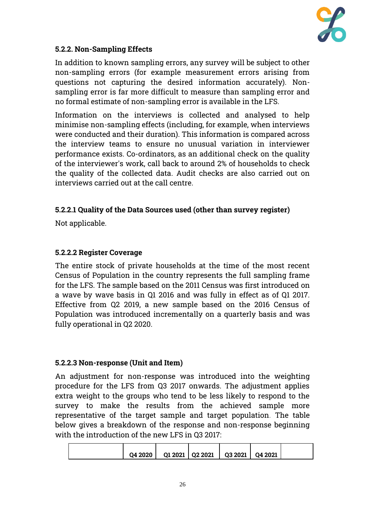

## **5.2.2. Non-Sampling Effects**

In addition to known sampling errors, any survey will be subject to other non-sampling errors (for example measurement errors arising from questions not capturing the desired information accurately). Nonsampling error is far more difficult to measure than sampling error and no formal estimate of non-sampling error is available in the LFS.

Information on the interviews is collected and analysed to help minimise non-sampling effects (including, for example, when interviews were conducted and their duration). This information is compared across the interview teams to ensure no unusual variation in interviewer performance exists. Co-ordinators, as an additional check on the quality of the interviewer's work, call back to around 2% of households to check the quality of the collected data. Audit checks are also carried out on interviews carried out at the call centre.

### **5.2.2.1 Quality of the Data Sources used (other than survey register)**

Not applicable.

### **5.2.2.2 Register Coverage**

The entire stock of private households at the time of the most recent Census of Population in the country represents the full sampling frame for the LFS. The sample based on the 2011 Census was first introduced on a wave by wave basis in Q1 2016 and was fully in effect as of Q1 2017. Effective from Q2 2019, a new sample based on the 2016 Census of Population was introduced incrementally on a quarterly basis and was fully operational in Q2 2020.

#### **5.2.2.3 Non-response (Unit and Item)**

An adjustment for non-response was introduced into the weighting procedure for the LFS from Q3 2017 onwards. The adjustment applies extra weight to the groups who tend to be less likely to respond to the survey to make the results from the achieved sample more representative of the target sample and target population. The table below gives a breakdown of the response and non-response beginning with the introduction of the new LFS in Q3 2017:

| 04 2020 |  | Q1 2021   Q2 2021   Q3 2021 | Q4 2021 |  |
|---------|--|-----------------------------|---------|--|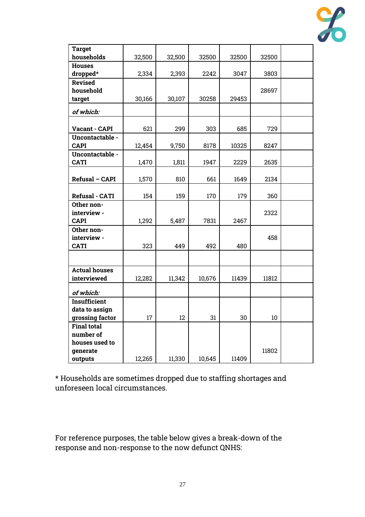

| <b>Target</b>         |        |        |        |       |       |  |
|-----------------------|--------|--------|--------|-------|-------|--|
| households            | 32,500 | 32,500 | 32500  | 32500 | 32500 |  |
| <b>Houses</b>         |        |        |        |       |       |  |
| dropped*              | 2,334  | 2,393  | 2242   | 3047  | 3803  |  |
| <b>Revised</b>        |        |        |        |       |       |  |
| household             |        |        |        |       | 28697 |  |
| target                | 30,166 | 30,107 | 30258  | 29453 |       |  |
| of which:             |        |        |        |       |       |  |
|                       |        |        |        |       |       |  |
| Vacant - CAPI         | 621    | 299    | 303    | 685   | 729   |  |
| Uncontactable -       |        |        |        |       |       |  |
| <b>CAPI</b>           | 12,454 | 9,750  | 8178   | 10325 | 8247  |  |
| Uncontactable -       |        |        |        |       |       |  |
| <b>CATI</b>           | 1,470  | 1,811  | 1947   | 2229  | 2635  |  |
|                       |        |        |        |       |       |  |
| Refusal - CAPI        | 1,570  | 810    | 661    | 1649  | 2134  |  |
|                       |        |        |        |       |       |  |
| <b>Refusal - CATI</b> | 154    | 159    | 170    | 179   | 360   |  |
| Other non-            |        |        |        |       |       |  |
| interview -           |        |        |        |       | 2322  |  |
| <b>CAPI</b>           | 1,292  | 5,487  | 7831   | 2467  |       |  |
| Other non-            |        |        |        |       |       |  |
| interview -           |        |        |        |       | 458   |  |
| <b>CATI</b>           | 323    | 449    | 492    | 480   |       |  |
|                       |        |        |        |       |       |  |
| <b>Actual houses</b>  |        |        |        |       |       |  |
| interviewed           | 12,282 | 11,342 | 10,676 | 11439 | 11812 |  |
|                       |        |        |        |       |       |  |
| of which:             |        |        |        |       |       |  |
| <b>Insufficient</b>   |        |        |        |       |       |  |
| data to assign        |        |        |        |       |       |  |
| grossing factor       | 17     | 12     | 31     | 30    | 10    |  |
| <b>Final total</b>    |        |        |        |       |       |  |
| number of             |        |        |        |       |       |  |
| houses used to        |        |        |        |       |       |  |
| generate              |        |        |        |       | 11802 |  |
| outputs               | 12,265 | 11,330 | 10,645 | 11409 |       |  |

\* Households are sometimes dropped due to staffing shortages and unforeseen local circumstances.

For reference purposes, the table below gives a break-down of the response and non-response to the now defunct QNHS: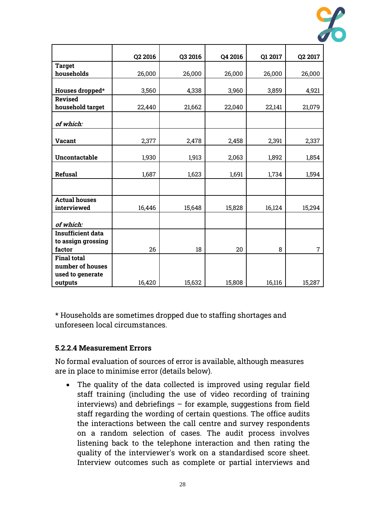

|                          | Q2 2016 | Q3 2016 | Q4 2016 | Q1 2017 | Q2 2017        |
|--------------------------|---------|---------|---------|---------|----------------|
| <b>Target</b>            |         |         |         |         |                |
| households               | 26,000  | 26,000  | 26,000  | 26,000  | 26,000         |
|                          |         |         |         |         |                |
| Houses dropped*          | 3,560   | 4,338   | 3,960   | 3,859   | 4,921          |
| <b>Revised</b>           |         |         |         |         |                |
| household target         | 22,440  | 21,662  | 22,040  | 22,141  | 21,079         |
|                          |         |         |         |         |                |
| of which:                |         |         |         |         |                |
|                          |         |         |         |         |                |
| <b>Vacant</b>            | 2,377   | 2,478   | 2,458   | 2,391   | 2,337          |
|                          |         |         |         |         |                |
| Uncontactable            | 1,930   | 1,913   | 2,063   | 1,892   | 1,854          |
|                          |         |         |         |         |                |
| <b>Refusal</b>           | 1,687   | 1,623   | 1,691   | 1,734   | 1,594          |
|                          |         |         |         |         |                |
|                          |         |         |         |         |                |
| <b>Actual houses</b>     |         |         |         |         |                |
| interviewed              | 16,446  | 15,648  | 15,828  | 16,124  | 15,294         |
|                          |         |         |         |         |                |
| of which:                |         |         |         |         |                |
| <b>Insufficient data</b> |         |         |         |         |                |
| to assign grossing       |         |         |         |         |                |
| factor                   | 26      | 18      | 20      | 8       | $\overline{7}$ |
| <b>Final total</b>       |         |         |         |         |                |
| number of houses         |         |         |         |         |                |
| used to generate         |         |         |         |         |                |
| outputs                  | 16,420  | 15,632  | 15,808  | 16,116  | 15,287         |

\* Households are sometimes dropped due to staffing shortages and unforeseen local circumstances.

#### **5.2.2.4 Measurement Errors**

No formal evaluation of sources of error is available, although measures are in place to minimise error (details below).

• The quality of the data collected is improved using regular field staff training (including the use of video recording of training interviews) and debriefings – for example, suggestions from field staff regarding the wording of certain questions. The office audits the interactions between the call centre and survey respondents on a random selection of cases. The audit process involves listening back to the telephone interaction and then rating the quality of the interviewer's work on a standardised score sheet. Interview outcomes such as complete or partial interviews and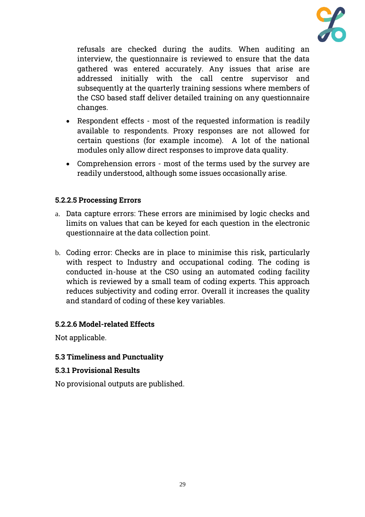

refusals are checked during the audits. When auditing an interview, the questionnaire is reviewed to ensure that the data gathered was entered accurately. Any issues that arise are addressed initially with the call centre supervisor and subsequently at the quarterly training sessions where members of the CSO based staff deliver detailed training on any questionnaire changes.

- Respondent effects most of the requested information is readily available to respondents. Proxy responses are not allowed for certain questions (for example income). A lot of the national modules only allow direct responses to improve data quality.
- Comprehension errors most of the terms used by the survey are readily understood, although some issues occasionally arise.

# **5.2.2.5 Processing Errors**

- a. Data capture errors: These errors are minimised by logic checks and limits on values that can be keyed for each question in the electronic questionnaire at the data collection point.
- b. Coding error: Checks are in place to minimise this risk, particularly with respect to Industry and occupational coding. The coding is conducted in-house at the CSO using an automated coding facility which is reviewed by a small team of coding experts. This approach reduces subjectivity and coding error. Overall it increases the quality and standard of coding of these key variables.

# **5.2.2.6 Model-related Effects**

Not applicable.

# **5.3 Timeliness and Punctuality**

#### **5.3.1 Provisional Results**

No provisional outputs are published.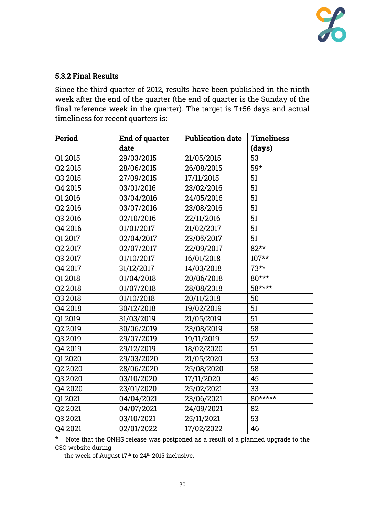

#### **5.3.2 Final Results**

Since the third quarter of 2012, results have been published in the ninth week after the end of the quarter (the end of quarter is the Sunday of the final reference week in the quarter). The target is T+56 days and actual timeliness for recent quarters is:

| <b>Period</b> | End of quarter | <b>Publication date</b> | <b>Timeliness</b> |
|---------------|----------------|-------------------------|-------------------|
|               | date           |                         | (days)            |
| Q1 2015       | 29/03/2015     | 21/05/2015              | 53                |
| Q2 2015       | 28/06/2015     | 26/08/2015              | 59*               |
| Q3 2015       | 27/09/2015     | 17/11/2015              | 51                |
| Q4 2015       | 03/01/2016     | 23/02/2016              | 51                |
| Q1 2016       | 03/04/2016     | 24/05/2016              | 51                |
| Q2 2016       | 03/07/2016     | 23/08/2016              | 51                |
| Q3 2016       | 02/10/2016     | 22/11/2016              | 51                |
| Q4 2016       | 01/01/2017     | 21/02/2017              | 51                |
| Q1 2017       | 02/04/2017     | 23/05/2017              | 51                |
| Q2 2017       | 02/07/2017     | 22/09/2017              | 82**              |
| Q3 2017       | 01/10/2017     | 16/01/2018              | $107**$           |
| Q4 2017       | 31/12/2017     | 14/03/2018              | $73**$            |
| Q1 2018       | 01/04/2018     | 20/06/2018              | 80***             |
| Q2 2018       | 01/07/2018     | 28/08/2018              | 58****            |
| Q3 2018       | 01/10/2018     | 20/11/2018              | 50                |
| Q4 2018       | 30/12/2018     | 19/02/2019              | 51                |
| Q1 2019       | 31/03/2019     | 21/05/2019              | 51                |
| Q2 2019       | 30/06/2019     | 23/08/2019              | 58                |
| Q3 2019       | 29/07/2019     | 19/11/2019              | 52                |
| Q4 2019       | 29/12/2019     | 18/02/2020              | 51                |
| Q1 2020       | 29/03/2020     | 21/05/2020              | 53                |
| Q2 2020       | 28/06/2020     | 25/08/2020              | 58                |
| Q3 2020       | 03/10/2020     | 17/11/2020              | 45                |
| Q4 2020       | 23/01/2020     | 25/02/2021              | 33                |
| Q1 2021       | 04/04/2021     | 23/06/2021              | 80*****           |
| Q2 2021       | 04/07/2021     | 24/09/2021              | 82                |
| Q3 2021       | 03/10/2021     | 25/11/2021              | 53                |
| Q4 2021       | 02/01/2022     | 17/02/2022              | 46                |

\* Note that the QNHS release was postponed as a result of a planned upgrade to the CSO website during

the week of August 17<sup>th</sup> to 24<sup>th</sup> 2015 inclusive.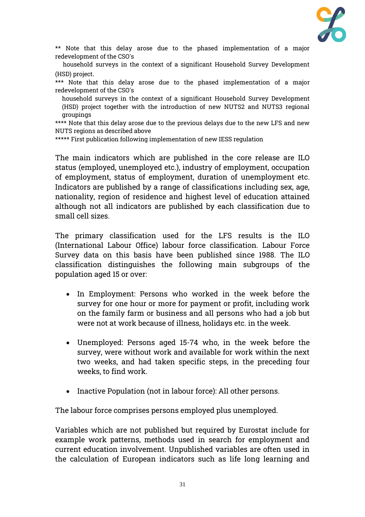

\*\* Note that this delay arose due to the phased implementation of a major redevelopment of the CSO's

 household surveys in the context of a significant Household Survey Development (HSD) project.

\*\*\* Note that this delay arose due to the phased implementation of a major redevelopment of the CSO's

household surveys in the context of a significant Household Survey Development (HSD) project together with the introduction of new NUTS2 and NUTS3 regional groupings

\*\*\*\* Note that this delay arose due to the previous delays due to the new LFS and new NUTS regions as described above

\*\*\*\*\* First publication following implementation of new IESS regulation

The main indicators which are published in the core release are ILO status (employed, unemployed etc.), industry of employment, occupation of employment, status of employment, duration of unemployment etc. Indicators are published by a range of classifications including sex, age, nationality, region of residence and highest level of education attained although not all indicators are published by each classification due to small cell sizes.

The primary classification used for the LFS results is the ILO (International Labour Office) labour force classification. Labour Force Survey data on this basis have been published since 1988. The ILO classification distinguishes the following main subgroups of the population aged 15 or over:

- In Employment: Persons who worked in the week before the survey for one hour or more for payment or profit, including work on the family farm or business and all persons who had a job but were not at work because of illness, holidays etc. in the week.
- Unemployed: Persons aged 15-74 who, in the week before the survey, were without work and available for work within the next two weeks, and had taken specific steps, in the preceding four weeks, to find work.
- Inactive Population (not in labour force): All other persons.

The labour force comprises persons employed plus unemployed.

Variables which are not published but required by Eurostat include for example work patterns, methods used in search for employment and current education involvement. Unpublished variables are often used in the calculation of European indicators such as life long learning and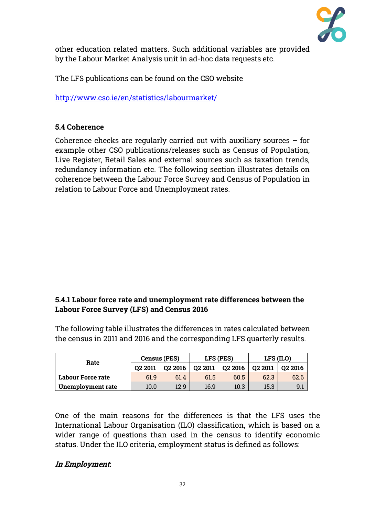

other education related matters. Such additional variables are provided by the Labour Market Analysis unit in ad-hoc data requests etc.

The LFS publications can be found on the CSO website

<http://www.cso.ie/en/statistics/labourmarket/>

# **5.4 Coherence**

Coherence checks are regularly carried out with auxiliary sources – for example other CSO publications/releases such as Census of Population, Live Register, Retail Sales and external sources such as taxation trends, redundancy information etc. The following section illustrates details on coherence between the Labour Force Survey and Census of Population in relation to Labour Force and Unemployment rates.

# **5.4.1 Labour force rate and unemployment rate differences between the Labour Force Survey (LFS) and Census 2016**

The following table illustrates the differences in rates calculated between the census in 2011 and 2016 and the corresponding LFS quarterly results.

| Rate              | <b>Census (PES)</b> |         | LFS (PES) |                     | LFS (ILO) |         |
|-------------------|---------------------|---------|-----------|---------------------|-----------|---------|
|                   | 02 2011             | 02 2016 | Q2 2011   | O <sub>2</sub> 2016 | 02 2011   | 02 2016 |
| Labour Force rate | 61.9                | 61.4    | 61.5      | 60.5                | 62.3      | 62.6    |
| Unemployment rate | 10.0                | 12.9    | 16.9      | 10.3                | 15.3      | 9.1     |

One of the main reasons for the differences is that the LFS uses the International Labour Organisation (ILO) classification, which is based on a wider range of questions than used in the census to identify economic status. Under the ILO criteria, employment status is defined as follows:

# **In Employment:**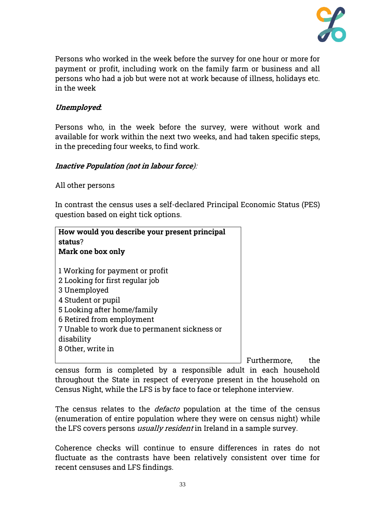

Persons who worked in the week before the survey for one hour or more for payment or profit, including work on the family farm or business and all persons who had a job but were not at work because of illness, holidays etc. in the week

# **Unemployed:**

Persons who, in the week before the survey, were without work and available for work within the next two weeks, and had taken specific steps, in the preceding four weeks, to find work.

### **Inactive Population (not in labour force**):

All other persons

In contrast the census uses a self-declared Principal Economic Status (PES) question based on eight tick options.

| How would you describe your present principal<br>status?<br>Mark one box only                                                                                                                                                                            |  |  |  |  |
|----------------------------------------------------------------------------------------------------------------------------------------------------------------------------------------------------------------------------------------------------------|--|--|--|--|
| 1 Working for payment or profit<br>2 Looking for first regular job<br>3 Unemployed<br>4 Student or pupil<br>5 Looking after home/family<br>6 Retired from employment<br>7 Unable to work due to permanent sickness or<br>disability<br>8 Other, write in |  |  |  |  |

Furthermore, the census form is completed by a responsible adult in each household throughout the State in respect of everyone present in the household on Census Night, while the LFS is by face to face or telephone interview.

The census relates to the *defacto* population at the time of the census (enumeration of entire population where they were on census night) while the LFS covers persons *usually resident* in Ireland in a sample survey.

Coherence checks will continue to ensure differences in rates do not fluctuate as the contrasts have been relatively consistent over time for recent censuses and LFS findings.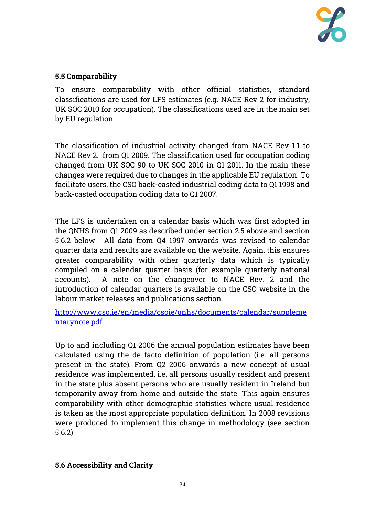

# **5.5 Comparability**

To ensure comparability with other official statistics, standard classifications are used for LFS estimates (e.g. NACE Rev 2 for industry, UK SOC 2010 for occupation). The classifications used are in the main set by EU regulation.

The classification of industrial activity changed from NACE Rev 1.1 to NACE Rev 2. from Q1 2009. The classification used for occupation coding changed from UK SOC 90 to UK SOC 2010 in Q1 2011. In the main these changes were required due to changes in the applicable EU regulation. To facilitate users, the CSO back-casted industrial coding data to Q1 1998 and back-casted occupation coding data to Q1 2007.

The LFS is undertaken on a calendar basis which was first adopted in the QNHS from Q1 2009 as described under section 2.5 above and section 5.6.2 below. All data from Q4 1997 onwards was revised to calendar quarter data and results are available on the website. Again, this ensures greater comparability with other quarterly data which is typically compiled on a calendar quarter basis (for example quarterly national accounts). A note on the changeover to NACE Rev. 2 and the introduction of calendar quarters is available on the CSO website in the labour market releases and publications section.

[http://www.cso.ie/en/media/csoie/qnhs/documents/calendar/suppleme](http://www.cso.ie/en/media/csoie/qnhs/documents/calendar/supplementarynote.pdf) [ntarynote.pdf](http://www.cso.ie/en/media/csoie/qnhs/documents/calendar/supplementarynote.pdf)

Up to and including Q1 2006 the annual population estimates have been calculated using the de facto definition of population (i.e. all persons present in the state). From Q2 2006 onwards a new concept of usual residence was implemented, i.e. all persons usually resident and present in the state plus absent persons who are usually resident in Ireland but temporarily away from home and outside the state. This again ensures comparability with other demographic statistics where usual residence is taken as the most appropriate population definition. In 2008 revisions were produced to implement this change in methodology (see section 5.6.2).

# **5.6 Accessibility and Clarity**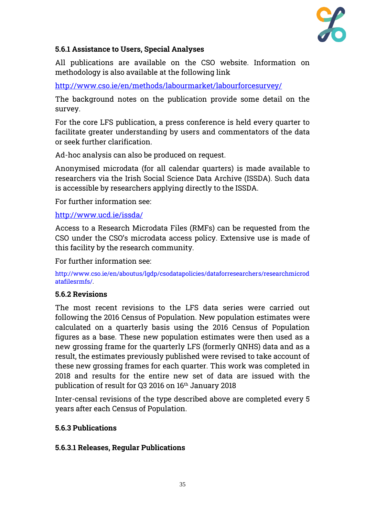

### **5.6.1 Assistance to Users, Special Analyses**

All publications are available on the CSO website. Information on methodology is also available at the following link

<http://www.cso.ie/en/methods/labourmarket/labourforcesurvey/>

The background notes on the publication provide some detail on the survey.

For the core LFS publication, a press conference is held every quarter to facilitate greater understanding by users and commentators of the data or seek further clarification.

Ad-hoc analysis can also be produced on request.

Anonymised microdata (for all calendar quarters) is made available to researchers via the Irish Social Science Data Archive (ISSDA). Such data is accessible by researchers applying directly to the ISSDA.

For further information see:

<http://www.ucd.ie/issda/>

Access to a Research Microdata Files (RMFs) can be requested from the CSO under the CSO's microdata access policy. Extensive use is made of this facility by the research community.

For further information see:

[http://www.cso.ie/en/aboutus/lgdp/csodatapolicies/dataforresearchers/researchmicrod](http://www.cso.ie/en/aboutus/lgdp/csodatapolicies/dataforresearchers/researchmicrodatafilesrmfs/) [atafilesrmfs/.](http://www.cso.ie/en/aboutus/lgdp/csodatapolicies/dataforresearchers/researchmicrodatafilesrmfs/)

#### **5.6.2 Revisions**

The most recent revisions to the LFS data series were carried out following the 2016 Census of Population. New population estimates were calculated on a quarterly basis using the 2016 Census of Population figures as a base. These new population estimates were then used as a new grossing frame for the quarterly LFS (formerly QNHS) data and as a result, the estimates previously published were revised to take account of these new grossing frames for each quarter. This work was completed in 2018 and results for the entire new set of data are issued with the publication of result for Q3 2016 on 16<sup>th</sup> January 2018

Inter-censal revisions of the type described above are completed every 5 years after each Census of Population.

#### **5.6.3 Publications**

#### **5.6.3.1 Releases, Regular Publications**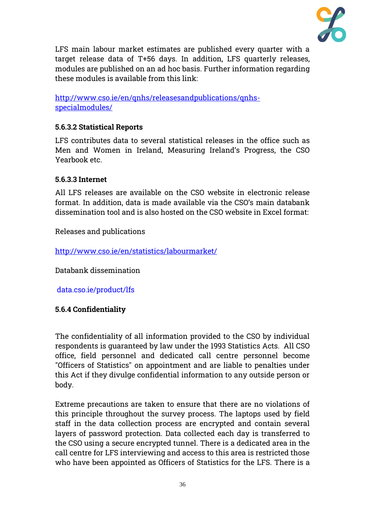

LFS main labour market estimates are published every quarter with a target release data of T+56 days. In addition, LFS quarterly releases, modules are published on an ad hoc basis. Further information regarding these modules is available from this link:

[http://www.cso.ie/en/qnhs/releasesandpublications/qnhs](http://www.cso.ie/en/qnhs/releasesandpublications/qnhs-specialmodules/)[specialmodules/](http://www.cso.ie/en/qnhs/releasesandpublications/qnhs-specialmodules/)

# **5.6.3.2 Statistical Reports**

LFS contributes data to several statistical releases in the office such as Men and Women in Ireland, Measuring Ireland's Progress, the CSO Yearbook etc.

#### **5.6.3.3 Internet**

All LFS releases are available on the CSO website in electronic release format. In addition, data is made available via the CSO's main databank dissemination tool and is also hosted on the CSO website in Excel format:

Releases and publications

<http://www.cso.ie/en/statistics/labourmarket/>

Databank dissemination

<data.cso.ie/product/lfs>

# **5.6.4 Confidentiality**

The confidentiality of all information provided to the CSO by individual respondents is guaranteed by law under the 1993 Statistics Acts. All CSO office, field personnel and dedicated call centre personnel become "Officers of Statistics" on appointment and are liable to penalties under this Act if they divulge confidential information to any outside person or body.

Extreme precautions are taken to ensure that there are no violations of this principle throughout the survey process. The laptops used by field staff in the data collection process are encrypted and contain several layers of password protection. Data collected each day is transferred to the CSO using a secure encrypted tunnel. There is a dedicated area in the call centre for LFS interviewing and access to this area is restricted those who have been appointed as Officers of Statistics for the LFS. There is a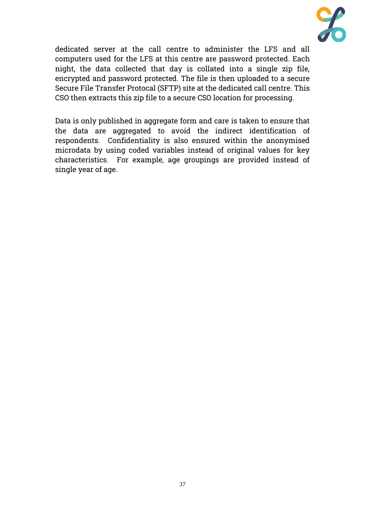

dedicated server at the call centre to administer the LFS and all computers used for the LFS at this centre are password protected. Each night, the data collected that day is collated into a single zip file, encrypted and password protected. The file is then uploaded to a secure Secure File Transfer Protocal (SFTP) site at the dedicated call centre. This CSO then extracts this zip file to a secure CSO location for processing.

Data is only published in aggregate form and care is taken to ensure that the data are aggregated to avoid the indirect identification of respondents. Confidentiality is also ensured within the anonymised microdata by using coded variables instead of original values for key characteristics. For example, age groupings are provided instead of single year of age.